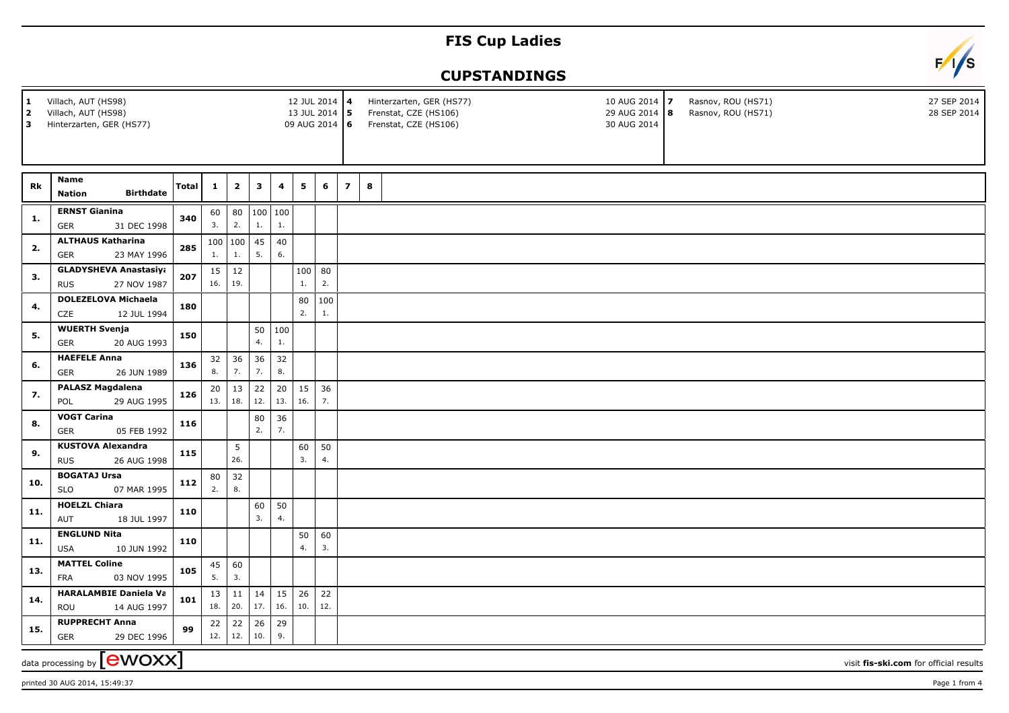## **FIS Cup Ladies**



## **CUPSTANDINGS**

| 1<br>l 2.<br>lЗ. | Villach, AUT (HS98)<br>Villach, AUT (HS98)<br>Hinterzarten, GER (HS77) |       |              |               |                |                         | 12 JUL 2014 4<br>13 JUL 2014 5<br>09 AUG 2014 6 |           |                |   | Hinterzarten, GER (HS77)<br>Frenstat, CZE (HS106)<br>Frenstat, CZE (HS106) |  | 10 AUG 2014 7<br>29 AUG 2014   8<br>30 AUG 2014 | Rasnov, ROU (HS71)<br>Rasnov, ROU (HS71) | 27 SEP 2014<br>28 SEP 2014             |
|------------------|------------------------------------------------------------------------|-------|--------------|---------------|----------------|-------------------------|-------------------------------------------------|-----------|----------------|---|----------------------------------------------------------------------------|--|-------------------------------------------------|------------------------------------------|----------------------------------------|
|                  |                                                                        |       |              |               |                |                         |                                                 |           |                |   |                                                                            |  |                                                 |                                          |                                        |
|                  | <b>Name</b>                                                            |       |              |               |                |                         |                                                 |           |                |   |                                                                            |  |                                                 |                                          |                                        |
| Rk               | <b>Birthdate</b><br><b>Nation</b>                                      | Total | $\mathbf{1}$ | $\mathbf{2}$  | $\mathbf{3}$   | $\overline{\mathbf{4}}$ | 5                                               | 6         | $\overline{z}$ | 8 |                                                                            |  |                                                 |                                          |                                        |
| 1.               | <b>ERNST Gianina</b>                                                   | 340   | 60           |               | 80   100   100 |                         |                                                 |           |                |   |                                                                            |  |                                                 |                                          |                                        |
|                  | 31 DEC 1998<br>GER                                                     |       | 3.           | 2.            | 1.             | 1.                      |                                                 |           |                |   |                                                                            |  |                                                 |                                          |                                        |
| 2.               | <b>ALTHAUS Katharina</b><br><b>GER</b><br>23 MAY 1996                  | 285   | 100<br>1.    | 100<br>1.     | 45<br>5.       | 40<br>6.                |                                                 |           |                |   |                                                                            |  |                                                 |                                          |                                        |
| 3.               | <b>GLADYSHEVA Anastasiya</b>                                           | 207   | 15<br>16.    | $12\,$<br>19. |                |                         | 100                                             | 80<br>2.  |                |   |                                                                            |  |                                                 |                                          |                                        |
|                  | 27 NOV 1987<br><b>RUS</b>                                              |       |              |               |                |                         | 1.                                              |           |                |   |                                                                            |  |                                                 |                                          |                                        |
| 4.               | <b>DOLEZELOVA Michaela</b><br>CZE<br>12 JUL 1994                       | 180   |              |               |                |                         | 80<br>2.                                        | 100<br>1. |                |   |                                                                            |  |                                                 |                                          |                                        |
| 5.               | <b>WUERTH Svenja</b>                                                   | 150   |              |               |                | 50   100                |                                                 |           |                |   |                                                                            |  |                                                 |                                          |                                        |
|                  | 20 AUG 1993<br><b>GER</b>                                              |       |              |               | 4.             | 1.                      |                                                 |           |                |   |                                                                            |  |                                                 |                                          |                                        |
| 6.               | <b>HAEFELE Anna</b><br>GER<br>26 JUN 1989                              | 136   | 32<br>8.     | 36<br>7.      | 36<br>7.       | 32<br>8.                |                                                 |           |                |   |                                                                            |  |                                                 |                                          |                                        |
| 7.               | <b>PALASZ Magdalena</b>                                                |       | 20           | 13            | 22             | 20                      | 15                                              | 36        |                |   |                                                                            |  |                                                 |                                          |                                        |
|                  | 29 AUG 1995<br>POL                                                     | 126   | 13.          | 18.           | 12.            | 13.                     | 16.                                             | 7.        |                |   |                                                                            |  |                                                 |                                          |                                        |
| 8.               | <b>VOGT Carina</b>                                                     | 116   |              |               | 80             | 36                      |                                                 |           |                |   |                                                                            |  |                                                 |                                          |                                        |
|                  | <b>GER</b><br>05 FEB 1992                                              |       |              |               | 2.             | 7.                      |                                                 |           |                |   |                                                                            |  |                                                 |                                          |                                        |
| 9.               | <b>KUSTOVA Alexandra</b><br>26 AUG 1998<br><b>RUS</b>                  | 115   |              | 5<br>26.      |                |                         | 60<br>3.                                        | 50<br>4.  |                |   |                                                                            |  |                                                 |                                          |                                        |
|                  | <b>BOGATAJ Ursa</b>                                                    |       | 80           | 32            |                |                         |                                                 |           |                |   |                                                                            |  |                                                 |                                          |                                        |
| 10.              | <b>SLO</b><br>07 MAR 1995                                              | 112   | 2.           | 8.            |                |                         |                                                 |           |                |   |                                                                            |  |                                                 |                                          |                                        |
| 11.              | <b>HOELZL Chiara</b><br>18 JUL 1997<br>AUT                             | 110   |              |               | 60<br>3.       | 50<br>4.                |                                                 |           |                |   |                                                                            |  |                                                 |                                          |                                        |
|                  | <b>ENGLUND Nita</b>                                                    |       |              |               |                |                         | 50                                              | 60        |                |   |                                                                            |  |                                                 |                                          |                                        |
| 11.              | 10 JUN 1992<br><b>USA</b>                                              | 110   |              |               |                |                         | 4.                                              | 3.        |                |   |                                                                            |  |                                                 |                                          |                                        |
| 13.              | <b>MATTEL Coline</b>                                                   | 105   | 45           | 60            |                |                         |                                                 |           |                |   |                                                                            |  |                                                 |                                          |                                        |
|                  | <b>FRA</b><br>03 NOV 1995                                              |       | 5.           | 3.            |                |                         |                                                 |           |                |   |                                                                            |  |                                                 |                                          |                                        |
| 14.              | <b>HARALAMBIE Daniela Va</b><br>14 AUG 1997<br><b>ROU</b>              | 101   | 13<br>18.    | 11<br> 20.    | 14<br>17.      | 15<br>16.               | 26<br>10.                                       | 22<br>12. |                |   |                                                                            |  |                                                 |                                          |                                        |
|                  | <b>RUPPRECHT Anna</b>                                                  |       | 22           | 22            | 26             | 29                      |                                                 |           |                |   |                                                                            |  |                                                 |                                          |                                        |
| 15.              | 29 DEC 1996<br><b>GER</b>                                              | 99    | 12.          | 12.           | 10.            | 9.                      |                                                 |           |                |   |                                                                            |  |                                                 |                                          |                                        |
|                  | <b>ewoxx</b><br>data processing by                                     |       |              |               |                |                         |                                                 |           |                |   |                                                                            |  |                                                 |                                          | visit fis-ski.com for official results |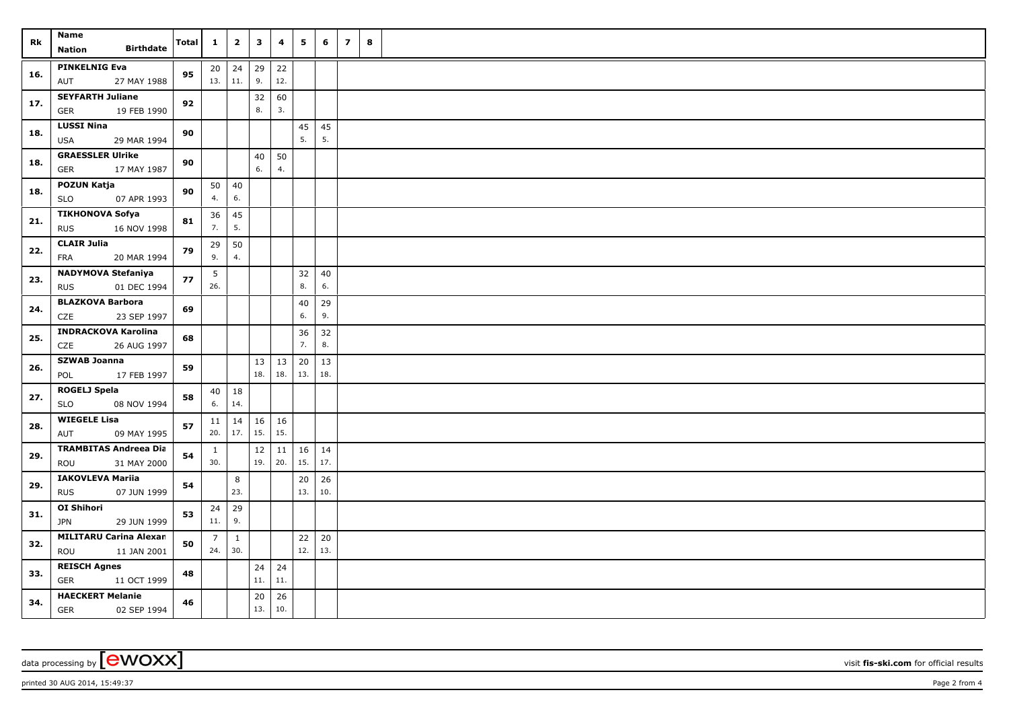| Rk  | Name<br><b>Birthdate</b><br>Nation                      | Total | $\mathbf{1}$          | $\mathbf{2}$        | $\mathbf{3}$  | 4         | 5         | 6             | $\overline{z}$ | 8 |
|-----|---------------------------------------------------------|-------|-----------------------|---------------------|---------------|-----------|-----------|---------------|----------------|---|
| 16. | <b>PINKELNIG Eva</b>                                    | 95    | 20                    | $\vert$ 24          | 29            | 22        |           |               |                |   |
|     | AUT<br>27 MAY 1988                                      |       | 13.                   | 11.                 | 9.            | 12.       |           |               |                |   |
| 17. | <b>SEYFARTH Juliane</b><br>19 FEB 1990<br><b>GER</b>    | 92    |                       |                     | 32<br>8.      | 60<br>3.  |           |               |                |   |
| 18. | <b>LUSSI Nina</b><br><b>USA</b><br>29 MAR 1994          | 90    |                       |                     |               |           | 45<br>5.  | 45<br>5.      |                |   |
| 18. | <b>GRAESSLER Ulrike</b><br>17 MAY 1987<br>GER           | 90    |                       |                     | 40<br>6.      | 50<br>4.  |           |               |                |   |
|     | POZUN Katja                                             |       | 50                    | 40                  |               |           |           |               |                |   |
| 18. | 07 APR 1993<br><b>SLO</b>                               | 90    | 4.                    | 6.                  |               |           |           |               |                |   |
| 21. | <b>TIKHONOVA Sofya</b><br><b>RUS</b><br>16 NOV 1998     | 81    | 36<br>7.              | 45<br>5.            |               |           |           |               |                |   |
| 22. | <b>CLAIR Julia</b><br>FRA<br>20 MAR 1994                | 79    | 29<br>9.              | 50<br>4.            |               |           |           |               |                |   |
|     | <b>NADYMOVA Stefaniya</b>                               |       | 5                     |                     |               |           | 32        | 40            |                |   |
| 23. | <b>RUS</b><br>01 DEC 1994                               | 77    | 26.                   |                     |               |           | 8.        | 6.            |                |   |
| 24. | <b>BLAZKOVA Barbora</b>                                 | 69    |                       |                     |               |           | 40        | 29            |                |   |
|     | CZE<br>23 SEP 1997                                      |       |                       |                     |               |           | 6.        | 9.            |                |   |
| 25. | <b>INDRACKOVA Karolina</b><br><b>CZE</b><br>26 AUG 1997 | 68    |                       |                     |               |           | 36<br>7.  | 32<br>8.      |                |   |
| 26. | <b>SZWAB Joanna</b>                                     | 59    |                       |                     | 13            | 13        | 20        | 13            |                |   |
|     | POL<br>17 FEB 1997                                      |       |                       |                     | 18.           | 18.       | 13.       | 18.           |                |   |
| 27. | <b>ROGELJ Spela</b><br><b>SLO</b><br>08 NOV 1994        | 58    | 40<br>6.              | 18<br>14.           |               |           |           |               |                |   |
| 28. | <b>WIEGELE Lisa</b>                                     | 57    | 11                    | 14                  | 16            | 16        |           |               |                |   |
|     | AUT<br>09 MAY 1995                                      |       | 20.                   | 17.                 | 15.           | 15.       |           |               |                |   |
| 29. | <b>TRAMBITAS Andreea Dia</b>                            | 54    | $\mathbf{1}$          |                     | $12\,$<br>19. | 11<br>20. | 16<br>15. | 14<br>17.     |                |   |
|     | 31 MAY 2000<br>ROU                                      |       | 30.                   |                     |               |           |           |               |                |   |
| 29. | <b>IAKOVLEVA Mariia</b><br>07 JUN 1999<br><b>RUS</b>    | 54    |                       | 8<br>23.            |               |           | 20<br>13. | 26<br>10.     |                |   |
| 31. | OI Shihori                                              | 53    | 24                    | 29                  |               |           |           |               |                |   |
|     | <b>JPN</b><br>29 JUN 1999                               |       | 11.                   | 9.                  |               |           |           |               |                |   |
| 32. | <b>MILITARU Carina Alexan</b><br>ROU<br>11 JAN 2001     | 50    | $\overline{7}$<br>24. | $\mathbf{1}$<br>30. |               |           | 22<br>12. | $20\,$<br>13. |                |   |
|     | <b>REISCH Agnes</b>                                     |       |                       |                     | 24            | 24        |           |               |                |   |
| 33. | GER<br>11 OCT 1999                                      | 48    |                       |                     | 11.           | 11.       |           |               |                |   |
| 34. | <b>HAECKERT Melanie</b><br>GER<br>02 SEP 1994           | 46    |                       |                     | 20<br>13.     | 26<br>10. |           |               |                |   |

printed 30 AUG 2014, 15:49:37 **Page 2** from 4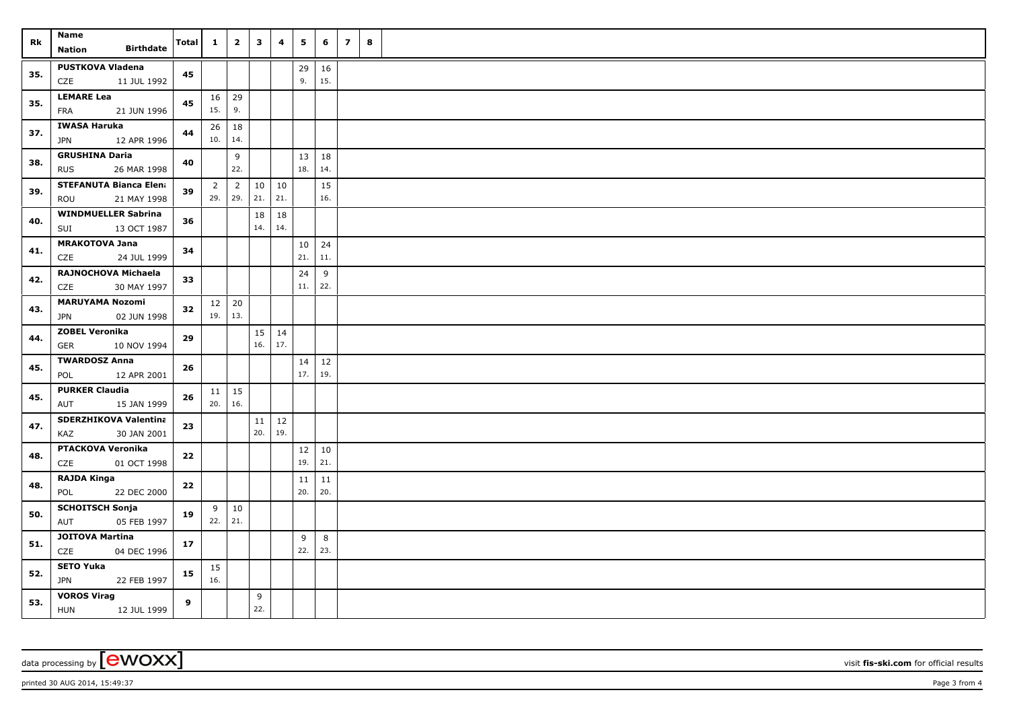| Rk  | <b>Name</b>                                        | Total    | $\mathbf{1}$   | $\mathbf{2}$          | $\overline{\mathbf{3}}$ | 4         | 5         | 6         | $\overline{z}$ | 8 |
|-----|----------------------------------------------------|----------|----------------|-----------------------|-------------------------|-----------|-----------|-----------|----------------|---|
|     | <b>Birthdate</b><br>Nation                         |          |                |                       |                         |           |           |           |                |   |
| 35. | <b>PUSTKOVA Vladena</b>                            | 45       |                |                       |                         |           | 29        | 16        |                |   |
|     | CZE<br>11 JUL 1992                                 |          |                |                       |                         |           | 9.        | 15.       |                |   |
| 35. | <b>LEMARE Lea</b>                                  | 45       |                | $16 \mid 29$          |                         |           |           |           |                |   |
|     | FRA<br>21 JUN 1996                                 |          | 15.            | 9.                    |                         |           |           |           |                |   |
| 37. | <b>IWASA Haruka</b>                                | 44       | 26             | 18                    |                         |           |           |           |                |   |
|     | <b>JPN</b><br>12 APR 1996<br><b>GRUSHINA Daria</b> |          | 10.            | 14.                   |                         |           |           |           |                |   |
| 38. | <b>RUS</b><br>26 MAR 1998                          | 40       |                | 9<br>22.              |                         |           | 13<br>18. | 18<br>14. |                |   |
|     | <b>STEFANUTA Bianca Elena</b>                      |          | $\overline{2}$ |                       | 10                      | 10        |           | 15        |                |   |
| 39. | ROU<br>21 MAY 1998                                 | 39       | 29.            | $\overline{2}$<br>29. | 21.                     | 21.       |           | 16.       |                |   |
|     | <b>WINDMUELLER Sabrina</b>                         |          |                |                       | 18                      | 18        |           |           |                |   |
| 40. | 13 OCT 1987<br>SUI                                 | 36       |                |                       | 14.                     | 14.       |           |           |                |   |
|     | <b>MRAKOTOVA Jana</b>                              |          |                |                       |                         |           | 10        | 24        |                |   |
| 41. | 24 JUL 1999<br>CZE                                 | 34       |                |                       |                         |           | 21.       | 11.       |                |   |
|     | RAJNOCHOVA Michaela                                |          |                |                       |                         |           | 24        | 9         |                |   |
| 42. | 30 MAY 1997<br>CZE                                 | 33       |                |                       |                         |           | 11.       | 22.       |                |   |
| 43. | <b>MARUYAMA Nozomi</b>                             | 32       |                | $12 \mid 20$          |                         |           |           |           |                |   |
|     | 02 JUN 1998<br><b>JPN</b>                          |          | 19.            | 13.                   |                         |           |           |           |                |   |
| 44. | <b>ZOBEL Veronika</b>                              | 29       |                |                       | 15                      | 14        |           |           |                |   |
|     | GER<br>10 NOV 1994                                 |          |                |                       | 16.                     | 17.       |           |           |                |   |
| 45. | <b>TWARDOSZ Anna</b>                               | 26       |                |                       |                         |           | 14        | $12$      |                |   |
|     | 12 APR 2001<br>POL                                 |          |                |                       |                         |           | 17.       | 19.       |                |   |
| 45. | <b>PURKER Claudia</b><br>15 JAN 1999               | 26       | 20.            | $11 \mid 15$<br>16.   |                         |           |           |           |                |   |
|     | AUT                                                |          |                |                       |                         |           |           |           |                |   |
| 47. | <b>SDERZHIKOVA Valentina</b><br>30 JAN 2001<br>KAZ | 23       |                |                       | 11<br>20.               | 12<br>19. |           |           |                |   |
|     | <b>PTACKOVA Veronika</b>                           |          |                |                       |                         |           | 12        | $10\,$    |                |   |
| 48. | CZE<br>01 OCT 1998                                 | 22       |                |                       |                         |           | 19.       | 21.       |                |   |
|     | <b>RAJDA Kinga</b>                                 |          |                |                       |                         |           | 11        | 11        |                |   |
| 48. | POL<br>22 DEC 2000                                 | $\bf 22$ |                |                       |                         |           | 20.       | 20.       |                |   |
| 50. | <b>SCHOITSCH Sonja</b>                             | 19       | 9              | 10                    |                         |           |           |           |                |   |
|     | AUT<br>05 FEB 1997                                 |          | 22.            | 21.                   |                         |           |           |           |                |   |
| 51. | <b>JOITOVA Martina</b>                             | 17       |                |                       |                         |           | 9         | 8         |                |   |
|     | CZE<br>04 DEC 1996                                 |          |                |                       |                         |           | 22.       | 23.       |                |   |
| 52. | <b>SETO Yuka</b>                                   | 15       | 15             |                       |                         |           |           |           |                |   |
|     | <b>JPN</b><br>22 FEB 1997                          |          | 16.            |                       |                         |           |           |           |                |   |
| 53. | <b>VOROS Virag</b><br><b>HUN</b><br>12 JUL 1999    | 9        |                |                       | 9<br>22.                |           |           |           |                |   |
|     |                                                    |          |                |                       |                         |           |           |           |                |   |